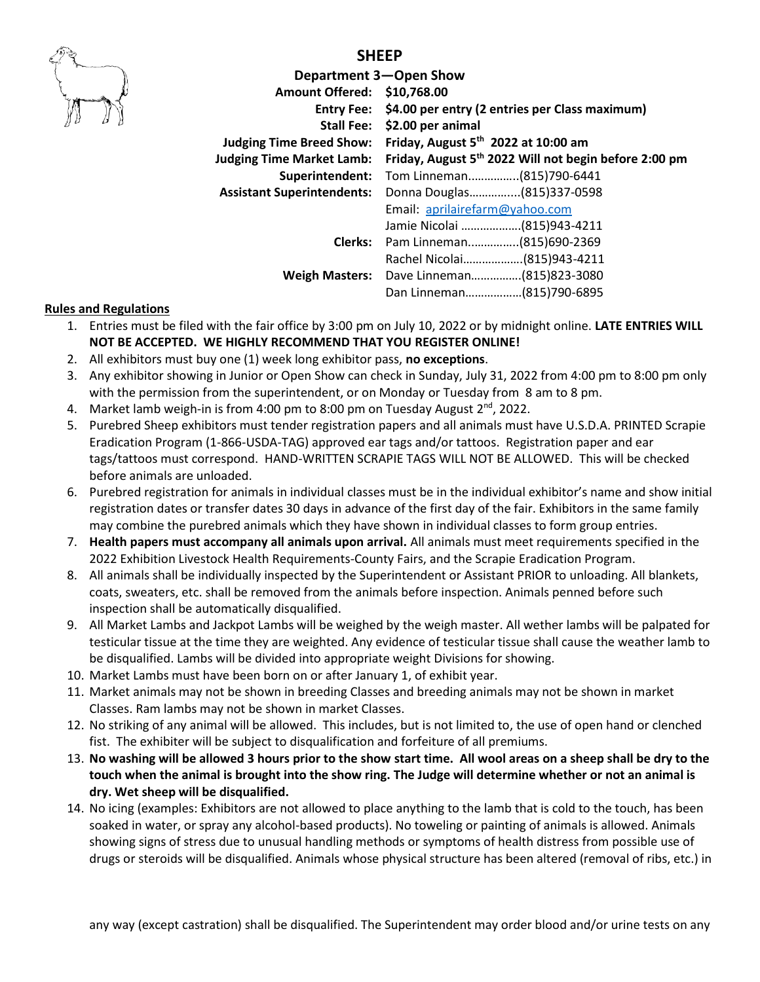

## **SHEEP**

| <b>Amount Offered:</b>            | Department 3-Open Show<br>\$10,768.00<br>Entry Fee: \$4.00 per entry (2 entries per Class maximum) |  |  |
|-----------------------------------|----------------------------------------------------------------------------------------------------|--|--|
|                                   | Stall Fee: \$2.00 per animal                                                                       |  |  |
| <b>Judging Time Breed Show:</b>   | Friday, August $5th$ 2022 at 10:00 am                                                              |  |  |
| <b>Judging Time Market Lamb:</b>  | Friday, August 5 <sup>th</sup> 2022 Will not begin before 2:00 pm                                  |  |  |
| Superintendent:                   | Tom Linneman(815)790-6441                                                                          |  |  |
| <b>Assistant Superintendents:</b> | Donna Douglas(815)337-0598                                                                         |  |  |
|                                   | Email: aprilairefarm@yahoo.com                                                                     |  |  |
|                                   | Jamie Nicolai  (815)943-4211                                                                       |  |  |
|                                   | Clerks: Pam Linneman(815)690-2369                                                                  |  |  |
|                                   | Rachel Nicolai(815)943-4211                                                                        |  |  |
|                                   | Weigh Masters: Dave Linneman(815)823-3080                                                          |  |  |
|                                   | Dan Linneman(815)790-6895                                                                          |  |  |

#### **Rules and Regulations**

- 1. Entries must be filed with the fair office by 3:00 pm on July 10, 2022 or by midnight online. **LATE ENTRIES WILL NOT BE ACCEPTED. WE HIGHLY RECOMMEND THAT YOU REGISTER ONLINE!**
- 2. All exhibitors must buy one (1) week long exhibitor pass, **no exceptions**.
- 3. Any exhibitor showing in Junior or Open Show can check in Sunday, July 31, 2022 from 4:00 pm to 8:00 pm only with the permission from the superintendent, or on Monday or Tuesday from 8 am to 8 pm.
- 4. Market lamb weigh-in is from 4:00 pm to 8:00 pm on Tuesday August 2<sup>nd</sup>, 2022.
- 5. Purebred Sheep exhibitors must tender registration papers and all animals must have U.S.D.A. PRINTED Scrapie Eradication Program (1-866-USDA-TAG) approved ear tags and/or tattoos. Registration paper and ear tags/tattoos must correspond. HAND-WRITTEN SCRAPIE TAGS WILL NOT BE ALLOWED. This will be checked before animals are unloaded.
- 6. Purebred registration for animals in individual classes must be in the individual exhibitor's name and show initial registration dates or transfer dates 30 days in advance of the first day of the fair. Exhibitors in the same family may combine the purebred animals which they have shown in individual classes to form group entries.
- 7. **Health papers must accompany all animals upon arrival.** All animals must meet requirements specified in the 2022 Exhibition Livestock Health Requirements-County Fairs, and the Scrapie Eradication Program.
- 8. All animals shall be individually inspected by the Superintendent or Assistant PRIOR to unloading. All blankets, coats, sweaters, etc. shall be removed from the animals before inspection. Animals penned before such inspection shall be automatically disqualified.
- 9. All Market Lambs and Jackpot Lambs will be weighed by the weigh master. All wether lambs will be palpated for testicular tissue at the time they are weighted. Any evidence of testicular tissue shall cause the weather lamb to be disqualified. Lambs will be divided into appropriate weight Divisions for showing.
- 10. Market Lambs must have been born on or after January 1, of exhibit year.
- 11. Market animals may not be shown in breeding Classes and breeding animals may not be shown in market Classes. Ram lambs may not be shown in market Classes.
- 12. No striking of any animal will be allowed. This includes, but is not limited to, the use of open hand or clenched fist. The exhibiter will be subject to disqualification and forfeiture of all premiums.
- 13. **No washing will be allowed 3 hours prior to the show start time. All wool areas on a sheep shall be dry to the touch when the animal is brought into the show ring. The Judge will determine whether or not an animal is dry. Wet sheep will be disqualified.**
- 14. No icing (examples: Exhibitors are not allowed to place anything to the lamb that is cold to the touch, has been soaked in water, or spray any alcohol-based products). No toweling or painting of animals is allowed. Animals showing signs of stress due to unusual handling methods or symptoms of health distress from possible use of drugs or steroids will be disqualified. Animals whose physical structure has been altered (removal of ribs, etc.) in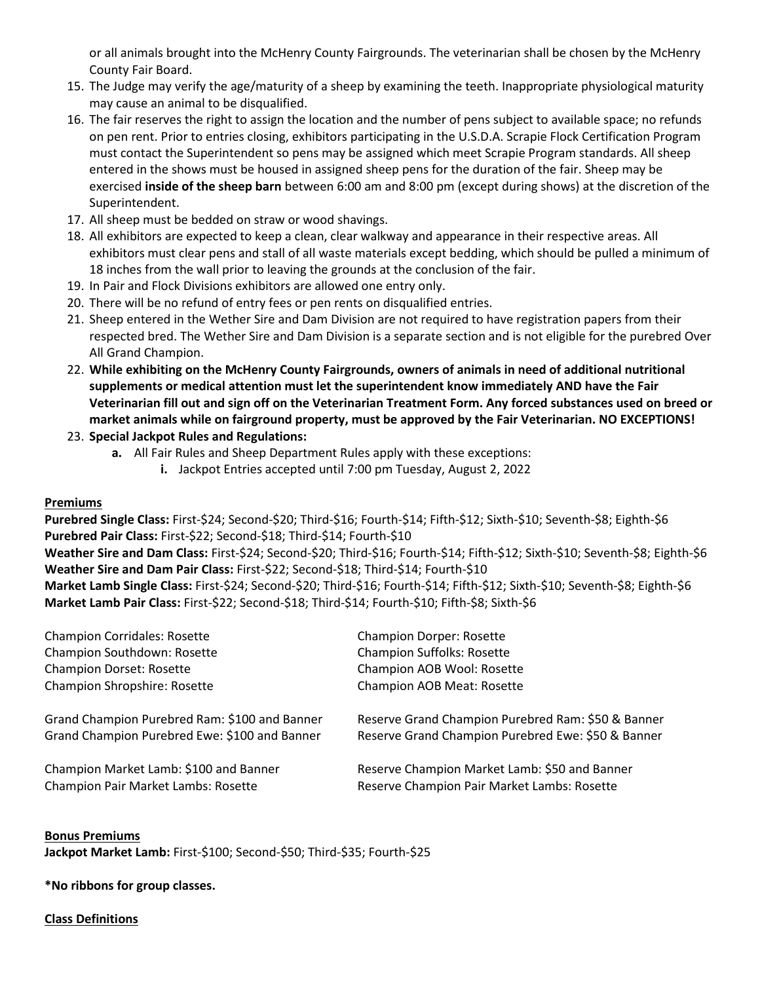or all animals brought into the McHenry County Fairgrounds. The veterinarian shall be chosen by the McHenry County Fair Board.

- 15. The Judge may verify the age/maturity of a sheep by examining the teeth. Inappropriate physiological maturity may cause an animal to be disqualified.
- 16. The fair reserves the right to assign the location and the number of pens subject to available space; no refunds on pen rent. Prior to entries closing, exhibitors participating in the U.S.D.A. Scrapie Flock Certification Program must contact the Superintendent so pens may be assigned which meet Scrapie Program standards. All sheep entered in the shows must be housed in assigned sheep pens for the duration of the fair. Sheep may be exercised **inside of the sheep barn** between 6:00 am and 8:00 pm (except during shows) at the discretion of the Superintendent.
- 17. All sheep must be bedded on straw or wood shavings.
- 18. All exhibitors are expected to keep a clean, clear walkway and appearance in their respective areas. All exhibitors must clear pens and stall of all waste materials except bedding, which should be pulled a minimum of 18 inches from the wall prior to leaving the grounds at the conclusion of the fair.
- 19. In Pair and Flock Divisions exhibitors are allowed one entry only.
- 20. There will be no refund of entry fees or pen rents on disqualified entries.
- 21. Sheep entered in the Wether Sire and Dam Division are not required to have registration papers from their respected bred. The Wether Sire and Dam Division is a separate section and is not eligible for the purebred Over All Grand Champion.
- 22. **While exhibiting on the McHenry County Fairgrounds, owners of animals in need of additional nutritional supplements or medical attention must let the superintendent know immediately AND have the Fair Veterinarian fill out and sign off on the Veterinarian Treatment Form. Any forced substances used on breed or market animals while on fairground property, must be approved by the Fair Veterinarian. NO EXCEPTIONS!**
- 23. **Special Jackpot Rules and Regulations:** 
	- **a.** All Fair Rules and Sheep Department Rules apply with these exceptions:
		- **i.** Jackpot Entries accepted until 7:00 pm Tuesday, August 2, 2022

#### **Premiums**

**Purebred Single Class:** First-\$24; Second-\$20; Third-\$16; Fourth-\$14; Fifth-\$12; Sixth-\$10; Seventh-\$8; Eighth-\$6 **Purebred Pair Class:** First-\$22; Second-\$18; Third-\$14; Fourth-\$10

**Weather Sire and Dam Class:** First-\$24; Second-\$20; Third-\$16; Fourth-\$14; Fifth-\$12; Sixth-\$10; Seventh-\$8; Eighth-\$6 **Weather Sire and Dam Pair Class:** First-\$22; Second-\$18; Third-\$14; Fourth-\$10

**Market Lamb Single Class:** First-\$24; Second-\$20; Third-\$16; Fourth-\$14; Fifth-\$12; Sixth-\$10; Seventh-\$8; Eighth-\$6 **Market Lamb Pair Class:** First-\$22; Second-\$18; Third-\$14; Fourth-\$10; Fifth-\$8; Sixth-\$6

| <b>Champion Corridales: Rosette</b>           | <b>Champion Dorper: Rosette</b>                    |
|-----------------------------------------------|----------------------------------------------------|
| Champion Southdown: Rosette                   | <b>Champion Suffolks: Rosette</b>                  |
| <b>Champion Dorset: Rosette</b>               | Champion AOB Wool: Rosette                         |
| Champion Shropshire: Rosette                  | <b>Champion AOB Meat: Rosette</b>                  |
| Grand Champion Purebred Ram: \$100 and Banner | Reserve Grand Champion Purebred Ram: \$50 & Banner |
| Grand Champion Purebred Ewe: \$100 and Banner | Reserve Grand Champion Purebred Ewe: \$50 & Banner |
| Champion Market Lamb: \$100 and Banner        | Reserve Champion Market Lamb: \$50 and Banner      |
| Champion Pair Market Lambs: Rosette           | Reserve Champion Pair Market Lambs: Rosette        |
|                                               |                                                    |

#### **Bonus Premiums** Jackpot Market Lamb: First-\$100; Second-\$50; Third-\$35; Fourth-\$25

**\*No ribbons for group classes.**

#### **Class Definitions**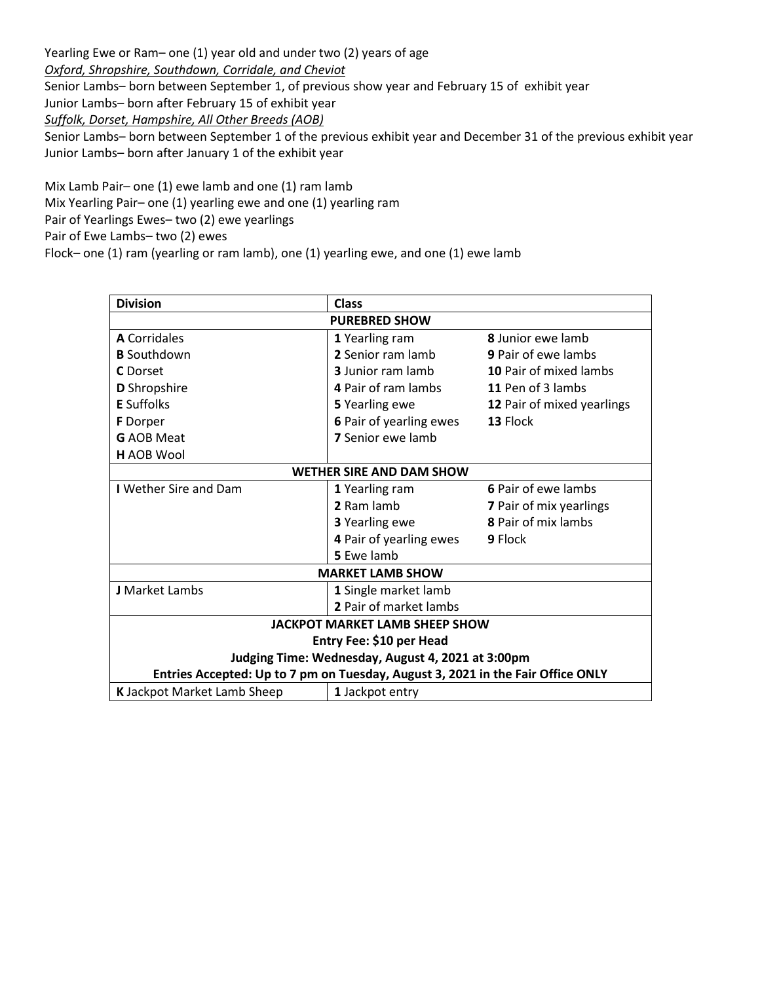Yearling Ewe or Ram– one (1) year old and under two (2) years of age *Oxford, Shropshire, Southdown, Corridale, and Cheviot* Senior Lambs– born between September 1, of previous show year and February 15 of exhibit year Junior Lambs– born after February 15 of exhibit year *Suffolk, Dorset, Hampshire, All Other Breeds (AOB)* Senior Lambs– born between September 1 of the previous exhibit year and December 31 of the previous exhibit year Junior Lambs– born after January 1 of the exhibit year

Mix Lamb Pair– one (1) ewe lamb and one (1) ram lamb Mix Yearling Pair– one (1) yearling ewe and one (1) yearling ram Pair of Yearlings Ewes– two (2) ewe yearlings Pair of Ewe Lambs– two (2) ewes Flock– one (1) ram (yearling or ram lamb), one (1) yearling ewe, and one (1) ewe lamb

| <b>Division</b>                                                                 | Class                           |                                |  |  |  |
|---------------------------------------------------------------------------------|---------------------------------|--------------------------------|--|--|--|
| <b>PUREBRED SHOW</b>                                                            |                                 |                                |  |  |  |
| <b>A</b> Corridales                                                             | 1 Yearling ram                  | <b>8</b> Junior ewe lamb       |  |  |  |
| <b>B</b> Southdown                                                              | 2 Senior ram lamb               | <b>9</b> Pair of ewe lambs     |  |  |  |
| C Dorset                                                                        | <b>3</b> Junior ram lamb        | <b>10 Pair of mixed lambs</b>  |  |  |  |
| <b>D</b> Shropshire                                                             | 4 Pair of ram lambs             | 11 Pen of 3 lambs              |  |  |  |
| <b>E</b> Suffolks                                                               | 5 Yearling ewe                  | 12 Pair of mixed yearlings     |  |  |  |
| <b>F</b> Dorper                                                                 | 6 Pair of yearling ewes         | 13 Flock                       |  |  |  |
| <b>G</b> AOB Meat                                                               | <b>7</b> Senior ewe lamb        |                                |  |  |  |
| <b>H</b> AOB Wool                                                               |                                 |                                |  |  |  |
|                                                                                 | <b>WETHER SIRE AND DAM SHOW</b> |                                |  |  |  |
| <b>I</b> Wether Sire and Dam                                                    | 1 Yearling ram                  | 6 Pair of ewe lambs            |  |  |  |
|                                                                                 | 2 Ram lamb                      | <b>7</b> Pair of mix yearlings |  |  |  |
|                                                                                 | 3 Yearling ewe                  | 8 Pair of mix lambs            |  |  |  |
|                                                                                 | 4 Pair of yearling ewes         | 9 Flock                        |  |  |  |
|                                                                                 | 5 Ewe lamb                      |                                |  |  |  |
|                                                                                 | <b>MARKET LAMB SHOW</b>         |                                |  |  |  |
| <b>J</b> Market Lambs                                                           | 1 Single market lamb            |                                |  |  |  |
|                                                                                 | 2 Pair of market lambs          |                                |  |  |  |
| <b>JACKPOT MARKET LAMB SHEEP SHOW</b>                                           |                                 |                                |  |  |  |
| Entry Fee: \$10 per Head                                                        |                                 |                                |  |  |  |
| Judging Time: Wednesday, August 4, 2021 at 3:00pm                               |                                 |                                |  |  |  |
| Entries Accepted: Up to 7 pm on Tuesday, August 3, 2021 in the Fair Office ONLY |                                 |                                |  |  |  |
| K Jackpot Market Lamb Sheep                                                     | 1 Jackpot entry                 |                                |  |  |  |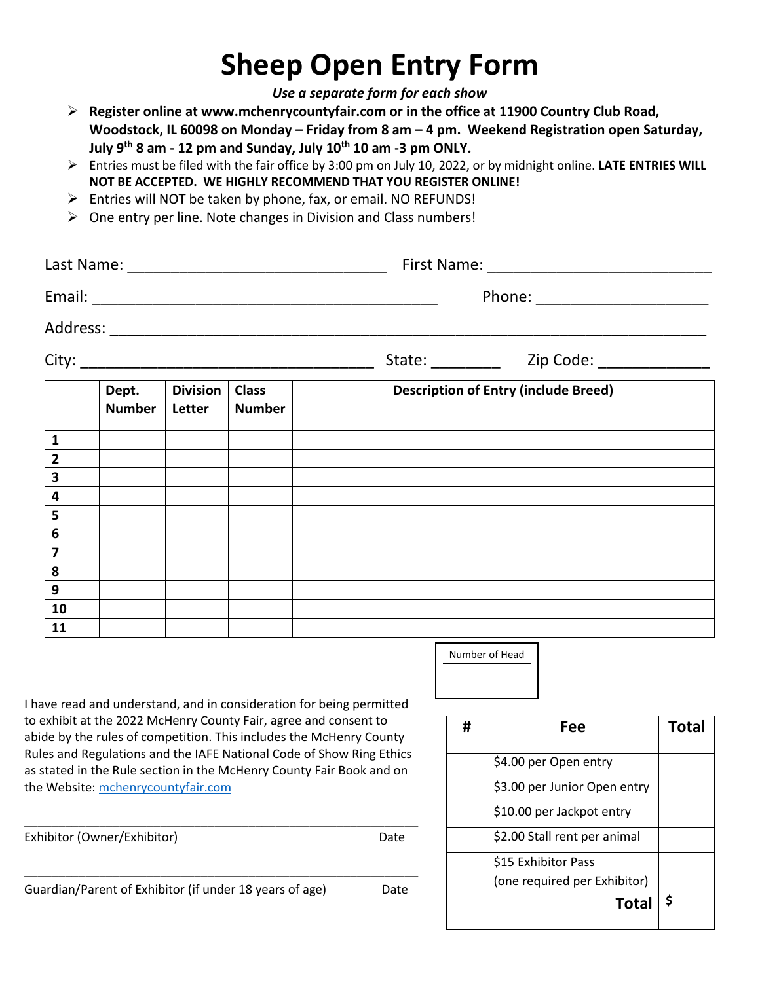# **Sheep Open Entry Form**

*Use a separate form for each show*

- ➢ **Register online at www.mchenrycountyfair.com or in the office at 11900 Country Club Road, Woodstock, IL 60098 on Monday – Friday from 8 am – 4 pm. Weekend Registration open Saturday, July 9 th 8 am - 12 pm and Sunday, July 10 th 10 am -3 pm ONLY.**
- ➢ Entries must be filed with the fair office by 3:00 pm on July 10, 2022, or by midnight online. **LATE ENTRIES WILL NOT BE ACCEPTED. WE HIGHLY RECOMMEND THAT YOU REGISTER ONLINE!**
- ➢ Entries will NOT be taken by phone, fax, or email. NO REFUNDS!
- ➢ One entry per line. Note changes in Division and Class numbers!

|                         |                        |                           |                               | Phone: __________________________           |  |  |
|-------------------------|------------------------|---------------------------|-------------------------------|---------------------------------------------|--|--|
|                         |                        |                           |                               |                                             |  |  |
|                         |                        |                           |                               |                                             |  |  |
|                         | Dept.<br><b>Number</b> | <b>Division</b><br>Letter | <b>Class</b><br><b>Number</b> | <b>Description of Entry (include Breed)</b> |  |  |
| $\mathbf{1}$            |                        |                           |                               |                                             |  |  |
| $\overline{\mathbf{2}}$ |                        |                           |                               |                                             |  |  |
| $\overline{\mathbf{3}}$ |                        |                           |                               |                                             |  |  |
| $\overline{\mathbf{4}}$ |                        |                           |                               |                                             |  |  |
| 5                       |                        |                           |                               |                                             |  |  |
| $6\phantom{1}6$         |                        |                           |                               |                                             |  |  |
| $\overline{\mathbf{z}}$ |                        |                           |                               |                                             |  |  |
| 8                       |                        |                           |                               |                                             |  |  |
| 9                       |                        |                           |                               |                                             |  |  |
| 10                      |                        |                           |                               |                                             |  |  |
| 11                      |                        |                           |                               |                                             |  |  |

Number of Head

I have read and understand, and in consideration for being permitted to exhibit at the 2022 McHenry County Fair, agree and consent to abide by the rules of competition. This includes the McHenry County Rules and Regulations and the IAFE National Code of Show Ring Ethics as stated in the Rule section in the McHenry County Fair Book and on the Website: [mchenrycountyfair.com](http://www.mchenrycountyfair.com/)

\_\_\_\_\_\_\_\_\_\_\_\_\_\_\_\_\_\_\_\_\_\_\_\_\_\_\_\_\_\_\_\_\_\_\_\_\_\_\_\_\_\_\_\_\_\_\_\_\_\_\_\_\_\_\_\_\_\_ Exhibitor (Owner/Exhibitor) Date \_\_\_\_\_\_\_\_\_\_\_\_\_\_\_\_\_\_\_\_\_\_\_\_\_\_\_\_\_\_\_\_\_\_\_\_\_\_\_\_\_\_\_\_\_\_\_\_\_\_\_\_\_\_\_\_\_\_ Guardian/Parent of Exhibitor (if under 18 years of age) Date

| Fee                          | <b>Total</b> |  |  |  |
|------------------------------|--------------|--|--|--|
| \$4.00 per Open entry        |              |  |  |  |
| \$3.00 per Junior Open entry |              |  |  |  |
| \$10.00 per Jackpot entry    |              |  |  |  |
| \$2.00 Stall rent per animal |              |  |  |  |
| \$15 Exhibitor Pass          |              |  |  |  |
| (one required per Exhibitor) |              |  |  |  |
| <b>Total</b>                 | \$           |  |  |  |
|                              |              |  |  |  |